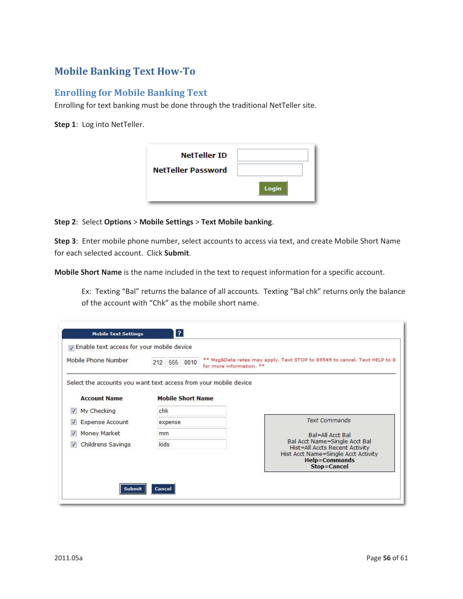## **Mobile Banking Text How-To**

## **Enrolling for Mobile Banking Text**

Enrolling for text banking must be done through the traditional NetTeller site.

**Step 1**: Log into NetTeller.

| <b>NetTeller ID</b>       |       |
|---------------------------|-------|
| <b>NetTeller Password</b> |       |
|                           | Login |

## **Step 2**: Select **Options** > **Mobile Settings** > **Text Mobile banking**.

**Step 3**: Enter mobile phone number, select accounts to access via text, and create Mobile Short Name for each selected account. Click **Submit**.

**Mobile Short Name** is the name included in the text to request information for a specific account.

Ex: Texting "Bal" returns the balance of all accounts. Texting "Bal chk" returns only the balance of the account with "Chk" as the mobile short name.

| The Enable text access for your mobile device<br>Mobile Phone Number | 212 555 0010<br>for more information. **                                                     | ** Msg&Data rates may apply. Text STOP to 89549 to cancel. Text HELP to 8 |
|----------------------------------------------------------------------|----------------------------------------------------------------------------------------------|---------------------------------------------------------------------------|
| <b>Account Name</b>                                                  | Select the accounts you want text access from your mobile device<br><b>Mobile Short Name</b> |                                                                           |
| My Checking<br>$\overline{\mathbf{v}}$                               | chk                                                                                          |                                                                           |
| <b>Expense Account</b>                                               | expense                                                                                      | <b>Text Commands</b>                                                      |
|                                                                      | mm                                                                                           | Bal=All Acct Bal                                                          |
| Money Market                                                         |                                                                                              | Bal Acct Name=Single Acct Bal                                             |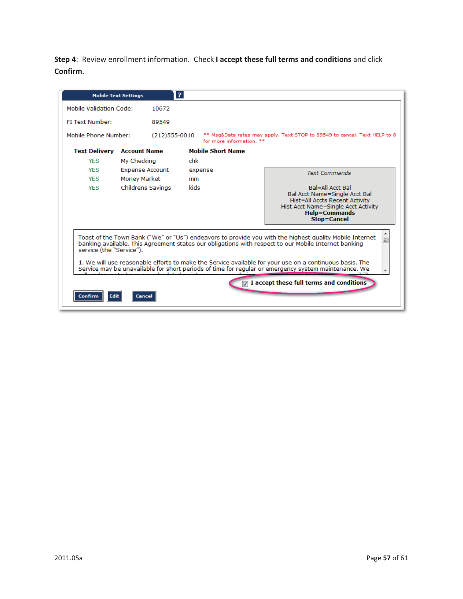**Step 4**: Review enrollment information. Check **I accept these full terms and conditions** and click **Confirm**.

|                                                                                                                                                                                                                 | <b>Mobile Text Settings</b>                                                                                                                                                                                                                 | $\mathbf{P}$     |      |                          |                                                                                                                                                                                 |
|-----------------------------------------------------------------------------------------------------------------------------------------------------------------------------------------------------------------|---------------------------------------------------------------------------------------------------------------------------------------------------------------------------------------------------------------------------------------------|------------------|------|--------------------------|---------------------------------------------------------------------------------------------------------------------------------------------------------------------------------|
| Mobile Validation Code:                                                                                                                                                                                         |                                                                                                                                                                                                                                             | 10672            |      |                          |                                                                                                                                                                                 |
| FI Text Number:                                                                                                                                                                                                 |                                                                                                                                                                                                                                             | 89549            |      |                          |                                                                                                                                                                                 |
| Mobile Phone Number:                                                                                                                                                                                            |                                                                                                                                                                                                                                             | $(212)$ 555-0010 |      | for more information. ** | ** Msg&Data rates may apply. Text STOP to 89549 to cancel. Text HELP to 8                                                                                                       |
| <b>Text Delivery</b>                                                                                                                                                                                            | <b>Account Name</b>                                                                                                                                                                                                                         |                  |      | <b>Mobile Short Name</b> |                                                                                                                                                                                 |
| <b>YFS</b>                                                                                                                                                                                                      | My Checking                                                                                                                                                                                                                                 |                  | chk  |                          |                                                                                                                                                                                 |
| <b>YES</b>                                                                                                                                                                                                      | <b>Expense Account</b>                                                                                                                                                                                                                      |                  |      | expense                  | <b>Text Commands</b>                                                                                                                                                            |
| <b>YFS</b>                                                                                                                                                                                                      | Money Market                                                                                                                                                                                                                                |                  | mm   |                          |                                                                                                                                                                                 |
| <b>YES</b>                                                                                                                                                                                                      | Childrens Savings                                                                                                                                                                                                                           |                  | kids |                          | <b>Bal=All Acct Bal</b><br>Bal Acct Name=Single Acct Bal<br>Hist=All Accts Recent Activity<br>Hist Acct Name=Single Acct Activity<br><b>Help=Commands</b><br><b>Stop=Cancel</b> |
|                                                                                                                                                                                                                 | Toast of the Town Bank ("We" or "Us") endeavors to provide you with the highest quality Mobile Internet<br>banking available. This Agreement states our obligations with respect to our Mobile Internet banking<br>service (the "Service"). |                  |      |                          |                                                                                                                                                                                 |
| 1. We will use reasonable efforts to make the Service available for your use on a continuous basis. The<br>Service may be unavailable for short periods of time for regular or emergency system maintenance. We |                                                                                                                                                                                                                                             |                  |      |                          |                                                                                                                                                                                 |
| $\mathbb{\nabla}$ I accept these full terms and conditions                                                                                                                                                      |                                                                                                                                                                                                                                             |                  |      |                          |                                                                                                                                                                                 |
| <b>Edit</b><br>Confirm                                                                                                                                                                                          | Cancel                                                                                                                                                                                                                                      |                  |      |                          |                                                                                                                                                                                 |
|                                                                                                                                                                                                                 |                                                                                                                                                                                                                                             |                  |      |                          |                                                                                                                                                                                 |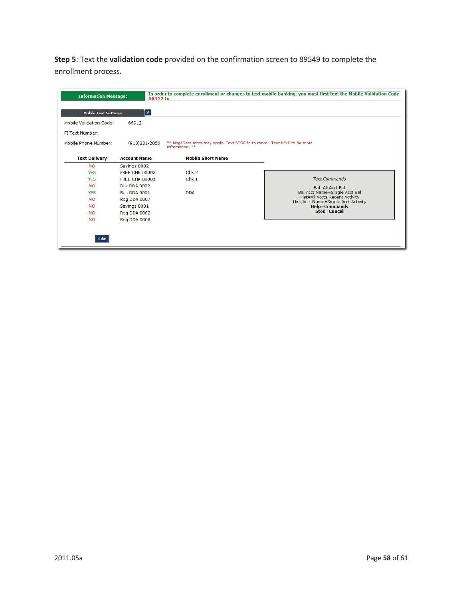**Step 5**: Text the **validation code** provided on the confirmation screen to 89549 to complete the enrollment process.

| <b>Mobile Text Settings</b> | $\overline{?}$        |                                                                                               |                                                                              |
|-----------------------------|-----------------------|-----------------------------------------------------------------------------------------------|------------------------------------------------------------------------------|
| Mobile Validation Code:     | 66912                 |                                                                                               |                                                                              |
| FI Text Number:             |                       |                                                                                               |                                                                              |
| Mobile Phone Number:        | $(913)231 - 2056$     | ** Msg&Data rates may apply. Text STOP to to cancel. Text HELP to for more<br>information. ** |                                                                              |
| <b>Text Delivery</b>        | <b>Account Name</b>   | <b>Mobile Short Name</b>                                                                      |                                                                              |
| <b>NO</b>                   | Savings 0002          |                                                                                               |                                                                              |
| <b>YES</b>                  | <b>FREE CHK 00002</b> | Chk <sub>2</sub>                                                                              |                                                                              |
| <b>YES</b>                  | <b>FREE CHK 00001</b> | Chk <sub>1</sub>                                                                              | <b>Text Commands</b>                                                         |
| <b>NO</b>                   | <b>Bus DDA 0002</b>   |                                                                                               | Bal=All Acct Bal                                                             |
| <b>YES</b>                  | <b>Bus DDA 0001</b>   | <b>DDA</b>                                                                                    | Bal Acct Name=Single Acct Bal                                                |
| <b>NO</b>                   | Reg DDA 0007          |                                                                                               | <b>Hist=All Accts Recent Activity</b><br>Hist Acct Name=Single Acct Activity |
| <b>NO</b>                   | Savings 0001          |                                                                                               | <b>Help=Commands</b>                                                         |
| <b>NO</b>                   | Reg DDA 0002          |                                                                                               | Stop=Cancel                                                                  |
| <b>NO</b>                   | Reg DDA 0008          |                                                                                               |                                                                              |